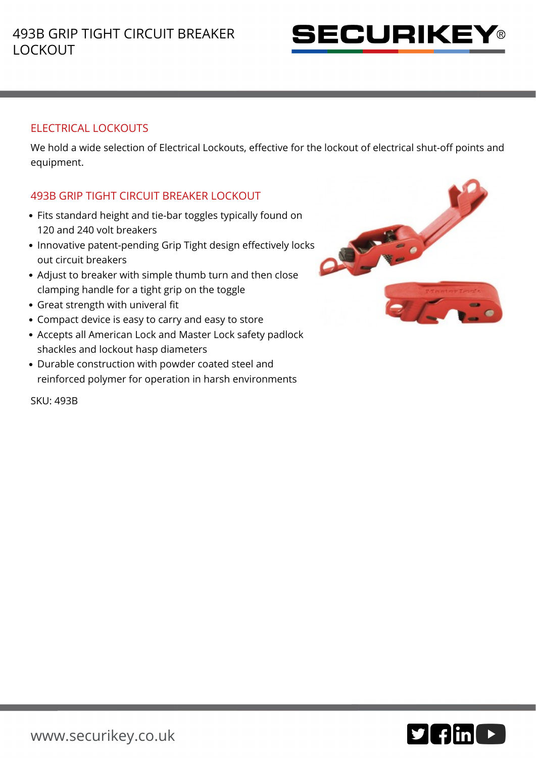

## ELECTRICAL LOCKOUTS

We hold a wide selection of Electrical Lockouts, effective for the lockout of electrical shut-off points and equipment.

## 493B GRIP TIGHT CIRCUIT BREAKER LOCKOUT

- Fits standard height and tie-bar toggles typically found on 120 and 240 volt breakers
- Innovative patent-pending Grip Tight design effectively locks out circuit breakers
- Adjust to breaker with simple thumb turn and then close clamping handle for a tight grip on the toggle
- Great strength with univeral fit
- Compact device is easy to carry and easy to store
- Accepts all American Lock and Master Lock safety padlock shackles and lockout hasp diameters
- Durable construction with powder coated steel and reinforced polymer for operation in harsh environments



SKU: 493B

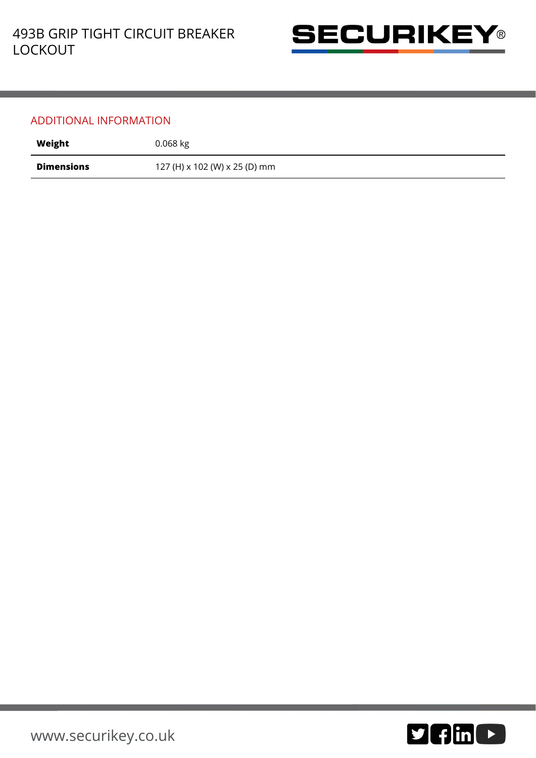

## ADDITIONAL INFORMATION

| Weight            | $0.068$ kg                    |
|-------------------|-------------------------------|
| <b>Dimensions</b> | 127 (H) x 102 (W) x 25 (D) mm |